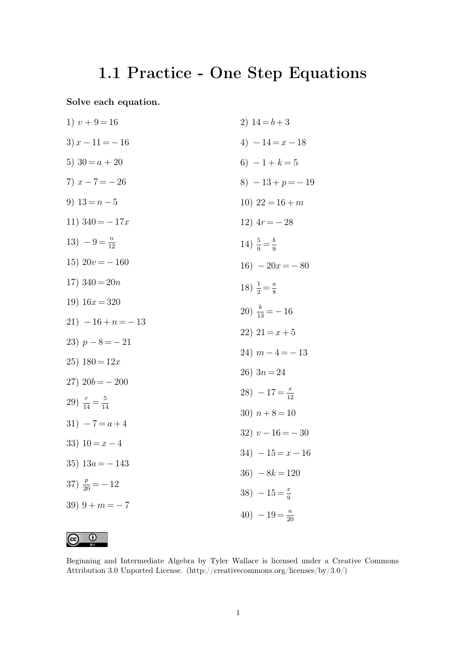## **1.1 Practice - One Step Equations**

**Solve each equation.**

1) 
$$
v + 9 = 16
$$
  
\n2)  $14 = b + 3$   
\n3)  $x - 11 = -16$   
\n4)  $-14 = x - 18$   
\n5)  $30 = a + 20$   
\n6)  $-1 + k = 5$   
\n7)  $x - 7 = -26$   
\n8)  $-13 + p = -19$   
\n9)  $13 = n - 5$   
\n10)  $22 = 16 + m$   
\n11)  $340 = -17x$   
\n12)  $4r = -28$   
\n13)  $-9 = \frac{n}{12}$   
\n14)  $\frac{5}{9} = \frac{b}{9}$   
\n15)  $20v = -160$   
\n16)  $-20x = -80$   
\n17)  $340 = 20n$   
\n18)  $\frac{1}{2} = \frac{a}{8}$   
\n19)  $16x = 320$   
\n21)  $-16 + n = -13$   
\n23)  $p - 8 = -21$   
\n24)  $m - 4 = -13$   
\n25)  $180 = 12x$   
\n26)  $3n = 24$   
\n27)  $20b = -200$   
\n29)  $\frac{r}{14} = \frac{5}{14}$   
\n31)  $-7 = a + 4$   
\n32)  $v - 16 = -30$   
\n33)  $10 = x - 4$   
\n34)  $-15 = x - 16$   
\n35)  $13a = -143$   
\n36)  $-8k = 120$   
\n38)  $-15 = \frac{x}{9}$   
\n39)  $9 + m = -7$   
\n40)  $-19 = \frac{n}{20}$ 

 $\odot$  $\odot$ 

Beginning and Intermediate Algebra by Tyler Wallace is licensed under a Creative Commons Attribution 3.0 Unported License. (http://creativecommons.org/licenses/by/3.0/)